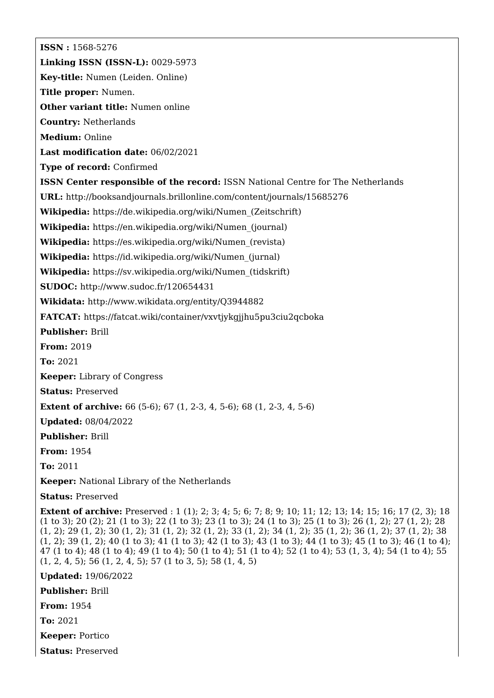**ISSN :** 1568-5276 **Linking ISSN (ISSN-L):** 0029-5973 **Key-title:** Numen (Leiden. Online) **Title proper:** Numen. **Other variant title:** Numen online **Country:** Netherlands **Medium:** Online **Last modification date:** 06/02/2021 **Type of record:** Confirmed **ISSN Center responsible of the record:** ISSN National Centre for The Netherlands **URL:** <http://booksandjournals.brillonline.com/content/journals/15685276> **Wikipedia:** [https://de.wikipedia.org/wiki/Numen\\_\(Zeitschrift\)](https://de.wikipedia.org/wiki/Numen_(Zeitschrift)) **Wikipedia:** [https://en.wikipedia.org/wiki/Numen\\_\(journal\)](https://en.wikipedia.org/wiki/Numen_(journal)) **Wikipedia:** [https://es.wikipedia.org/wiki/Numen\\_\(revista\)](https://es.wikipedia.org/wiki/Numen_(revista)) **Wikipedia:** [https://id.wikipedia.org/wiki/Numen\\_\(jurnal\)](https://id.wikipedia.org/wiki/Numen_(jurnal)) **Wikipedia:** [https://sv.wikipedia.org/wiki/Numen\\_\(tidskrift\)](https://sv.wikipedia.org/wiki/Numen_(tidskrift)) **SUDOC:** <http://www.sudoc.fr/120654431> **Wikidata:** <http://www.wikidata.org/entity/Q3944882> **FATCAT:** <https://fatcat.wiki/container/vxvtjykgjjhu5pu3ciu2qcboka> **Publisher:** Brill **From:** 2019 **To:** 2021 **Keeper:** Library of Congress **Status:** Preserved **Extent of archive:** 66 (5-6); 67 (1, 2-3, 4, 5-6); 68 (1, 2-3, 4, 5-6) **Updated:** 08/04/2022 **Publisher:** Brill **From:** 1954 **To:** 2011

**Keeper:** National Library of the Netherlands

**Status:** Preserved

**Extent of archive:** Preserved : 1 (1); 2; 3; 4; 5; 6; 7; 8; 9; 10; 11; 12; 13; 14; 15; 16; 17 (2, 3); 18 (1 to 3); 20 (2); 21 (1 to 3); 22 (1 to 3); 23 (1 to 3); 24 (1 to 3); 25 (1 to 3); 26 (1, 2); 27 (1, 2); 28 (1, 2); 29 (1, 2); 30 (1, 2); 31 (1, 2); 32 (1, 2); 33 (1, 2); 34 (1, 2); 35 (1, 2); 36 (1, 2); 37 (1, 2); 38 (1, 2); 39 (1, 2); 40 (1 to 3); 41 (1 to 3); 42 (1 to 3); 43 (1 to 3); 44 (1 to 3); 45 (1 to 3); 46 (1 to 4); 47 (1 to 4); 48 (1 to 4); 49 (1 to 4); 50 (1 to 4); 51 (1 to 4); 52 (1 to 4); 53 (1, 3, 4); 54 (1 to 4); 55 (1, 2, 4, 5); 56 (1, 2, 4, 5); 57 (1 to 3, 5); 58 (1, 4, 5)

**Updated:** 19/06/2022

**Publisher:** Brill

**From:** 1954

**To:** 2021

**Keeper:** Portico

**Status:** Preserved